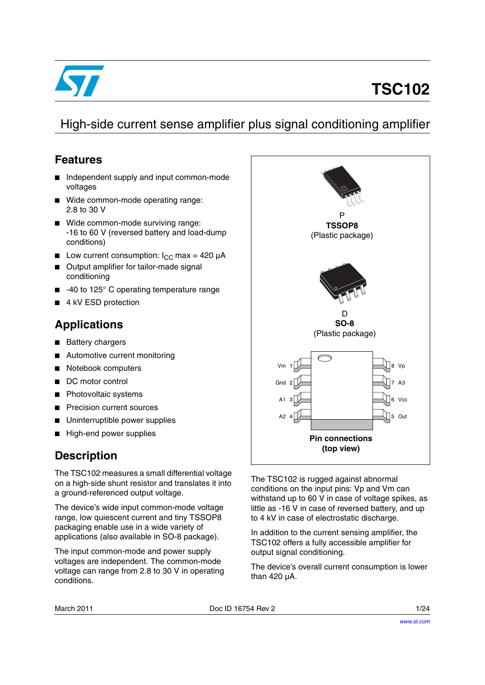

# **TSC102**

# High-side current sense amplifier plus signal conditioning amplifier

#### **Features**

- Independent supply and input common-mode voltages
- Wide common-mode operating range: 2.8 to 30 V
- Wide common-mode surviving range: -16 to 60 V (reversed battery and load-dump conditions)
- **■** Low current consumption:  $I_{CC}$  max = 420  $\mu$ A
- Output amplifier for tailor-made signal conditioning
- -40 to 125° C operating temperature range
- 4 kV ESD protection

#### **Applications**

- Battery chargers
- Automotive current monitoring
- Notebook computers
- DC motor control
- Photovoltaic systems
- **Precision current sources**
- Uninterruptible power supplies
- High-end power supplies

## **Description**

The TSC102 measures a small differential voltage on a high-side shunt resistor and translates it into a ground-referenced output voltage.

The device's wide input common-mode voltage range, low quiescent current and tiny TSSOP8 packaging enable use in a wide variety of applications (also available in SO-8 package).

The input common-mode and power supply voltages are independent. The common-mode voltage can range from 2.8 to 30 V in operating conditions.



The TSC102 is rugged against abnormal conditions on the input pins: Vp and Vm can withstand up to 60 V in case of voltage spikes, as little as -16 V in case of reversed battery, and up to 4 kV in case of electrostatic discharge.

In addition to the current sensing amplifier, the TSC102 offers a fully accessible amplifier for output signal conditioning.

The device's overall current consumption is lower than 420 µA.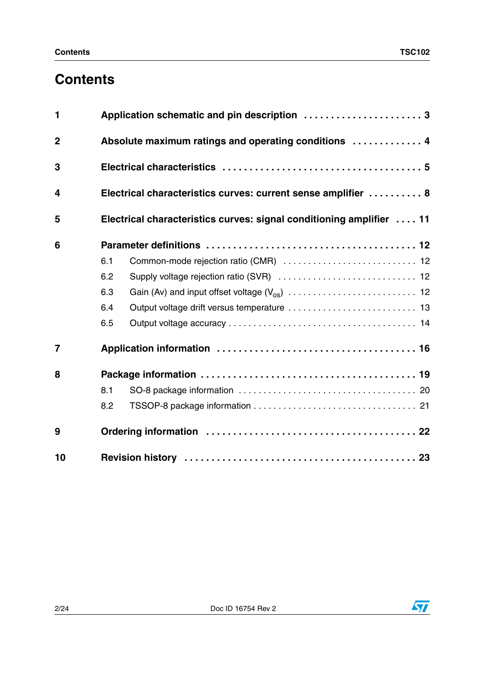# **Contents**

| $\mathbf{1}$            |     | Application schematic and pin description 3                          |  |  |  |  |  |  |
|-------------------------|-----|----------------------------------------------------------------------|--|--|--|--|--|--|
| $\overline{2}$          |     | Absolute maximum ratings and operating conditions  4                 |  |  |  |  |  |  |
| 3                       |     |                                                                      |  |  |  |  |  |  |
| $\overline{\mathbf{4}}$ |     | Electrical characteristics curves: current sense amplifier  8        |  |  |  |  |  |  |
| 5                       |     | Electrical characteristics curves: signal conditioning amplifier  11 |  |  |  |  |  |  |
| 6                       |     |                                                                      |  |  |  |  |  |  |
|                         | 6.1 | Common-mode rejection ratio (CMR)  12                                |  |  |  |  |  |  |
|                         | 6.2 |                                                                      |  |  |  |  |  |  |
|                         | 6.3 |                                                                      |  |  |  |  |  |  |
|                         | 6.4 | Output voltage drift versus temperature  13                          |  |  |  |  |  |  |
|                         | 6.5 |                                                                      |  |  |  |  |  |  |
| $\overline{7}$          |     |                                                                      |  |  |  |  |  |  |
| 8                       |     |                                                                      |  |  |  |  |  |  |
|                         | 8.1 |                                                                      |  |  |  |  |  |  |
|                         | 8.2 |                                                                      |  |  |  |  |  |  |
| 9                       |     |                                                                      |  |  |  |  |  |  |
| 10                      |     |                                                                      |  |  |  |  |  |  |

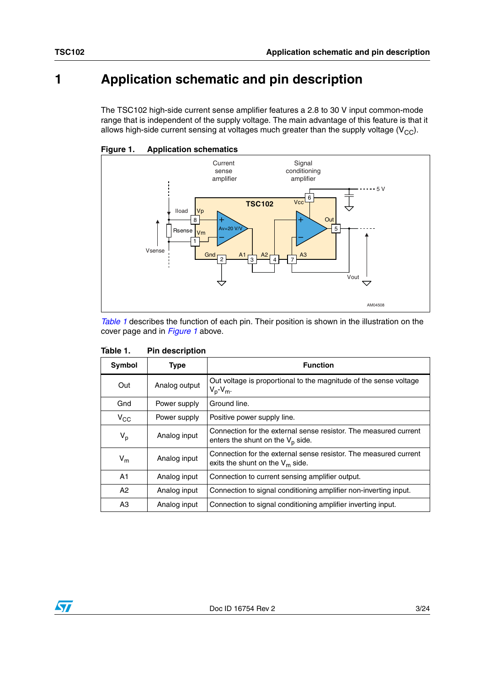# <span id="page-2-0"></span>**1 Application schematic and pin description**

The TSC102 high-side current sense amplifier features a 2.8 to 30 V input common-mode range that is independent of the supply voltage. The main advantage of this feature is that it allows high-side current sensing at voltages much greater than the supply voltage  $(V_{CC})$ .



<span id="page-2-2"></span>

*[Table 1](#page-2-1)* describes the function of each pin. Their position is shown in the illustration on the cover page and in *[Figure 1](#page-2-2)* above.

| Symbol         | <b>Type</b>   | <b>Function</b>                                                                                         |
|----------------|---------------|---------------------------------------------------------------------------------------------------------|
| Out            | Analog output | Out voltage is proportional to the magnitude of the sense voltage<br>$V_p - V_m$ .                      |
| Gnd            | Power supply  | Ground line.                                                                                            |
| $V_{CC}$       | Power supply  | Positive power supply line.                                                                             |
| $\mathsf{V_p}$ | Analog input  | Connection for the external sense resistor. The measured current<br>enters the shunt on the $V_p$ side. |
| $V_{m}$        | Analog input  | Connection for the external sense resistor. The measured current<br>exits the shunt on the $V_m$ side.  |
| A <sub>1</sub> | Analog input  | Connection to current sensing amplifier output.                                                         |
| A2             | Analog input  | Connection to signal conditioning amplifier non-inverting input.                                        |
| A3             | Analog input  | Connection to signal conditioning amplifier inverting input.                                            |

#### <span id="page-2-1"></span>Table 1. **Pin description**

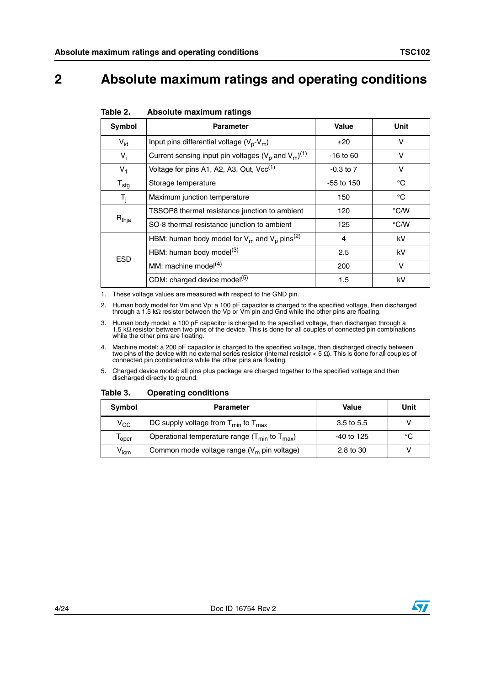# <span id="page-3-0"></span>**2 Absolute maximum ratings and operating conditions**

| <b>Symbol</b>    | <b>Parameter</b>                                                      | <b>Value</b>  | <b>Unit</b>   |
|------------------|-----------------------------------------------------------------------|---------------|---------------|
| $V_{id}$         | Input pins differential voltage $(V_p-V_m)$                           | ±20           | $\vee$        |
| $V_i$            | Current sensing input pin voltages ( $V_p$ and $V_m$ ) <sup>(1)</sup> | $-16$ to 60   | v             |
| $V_1$            | Voltage for pins A1, A2, A3, Out, $Vec^{(1)}$                         | $-0.3$ to $7$ | v             |
| $T_{\text{stg}}$ | Storage temperature                                                   | $-55$ to 150  | $^{\circ}C$   |
| $T_i$            | Maximum junction temperature                                          | 150           | °C            |
|                  | TSSOP8 thermal resistance junction to ambient                         | 120           | $\degree$ C/W |
| $R_{thja}$       | SO-8 thermal resistance junction to ambient                           | 125           | $\degree$ C/W |
|                  | HBM: human body model for $V_m$ and $V_p$ pins <sup>(2)</sup>         | 4             | kV            |
| <b>ESD</b>       | HBM: human body model <sup>(3)</sup>                                  | 2.5           | kV            |
|                  | MM: machine model $(4)$                                               | 200           | $\vee$        |
|                  | CDM: charged device model <sup>(5)</sup>                              | 1.5           | kV            |

#### Table 2. **Absolute maximum ratings**

1. These voltage values are measured with respect to the GND pin.

2. Human body model for Vm and Vp: a 100 pF capacitor is charged to the specified voltage, then discharged through a 1.5 kΩ resistor between the Vp or Vm pin and Gnd while the other pins are floating.

3. Human body model: a 100 pF capacitor is charged to the specified voltage, then discharged through a 1.5 kΩ resistor between two pins of the device. This is done for all couples of connected pin combinations while the other pins are floating.

4. Machine model: a 200 pF capacitor is charged to the specified voltage, then discharged directly between two pins of the device with no external series resistor (internal resistor < 5 Ω). This is done for all couples of connected pin combinations while the other pins are floating.

5. Charged device model: all pins plus package are charged together to the specified voltage and then discharged directly to ground.

#### Table 3. **Operating conditions**

| Symbol    | <b>Parameter</b>                                         | Value                 | Unit |
|-----------|----------------------------------------------------------|-----------------------|------|
| $V_{CC}$  | DC supply voltage from $T_{min}$ to $T_{max}$            | $3.5 \text{ to } 5.5$ |      |
| 'oper     | Operational temperature range ( $T_{min}$ to $T_{max}$ ) | -40 to 125            | °C   |
| $V_{icm}$ | Common mode voltage range $(V_m$ pin voltage)            | 2.8 to 30             |      |

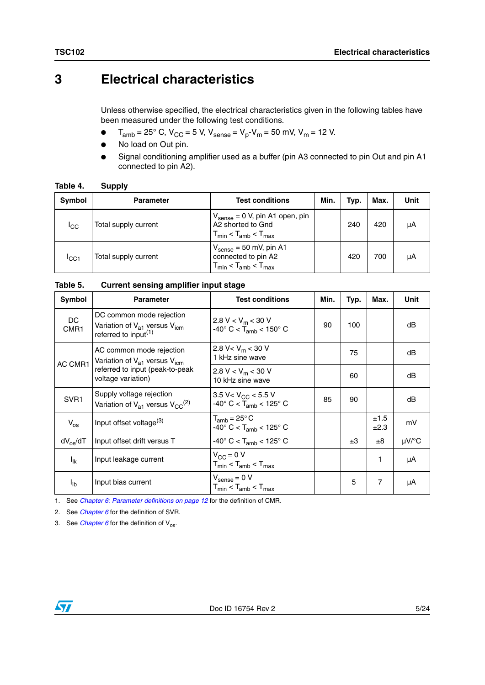## <span id="page-4-0"></span>**3 Electrical characteristics**

Unless otherwise specified, the electrical characteristics given in the following tables have been measured under the following test conditions.

- $T_{\text{amb}} = 25^{\circ}$  C, V<sub>CC</sub> = 5 V, V<sub>sense</sub> = V<sub>p</sub>-V<sub>m</sub> = 50 mV, V<sub>m</sub> = 12 V.
- No load on Out pin.
- Signal conditioning amplifier used as a buffer (pin A3 connected to pin Out and pin A1 connected to pin A2).

| Table 4. | <b>Supply</b> |
|----------|---------------|
|          |               |

| <b>Symbol</b>   | <b>Parameter</b>     | <b>Test conditions</b>                                                                               | Min. | Typ. | Max. | Unit |
|-----------------|----------------------|------------------------------------------------------------------------------------------------------|------|------|------|------|
| <sup>I</sup> CC | Total supply current | $V_{\text{sense}} = 0$ V, pin A1 open, pin<br>A2 shorted to Gnd<br>$T_{min}$ < $T_{amb}$ < $T_{max}$ |      | 240  | 420  | μA   |
| ICC1            | Total supply current | $V_{\text{sense}} = 50$ mV, pin A1<br>connected to pin A2<br>$T_{min}$ < $T_{amb}$ < $T_{max}$       |      | 420  | 700  | μA   |

| Table 5. |  | <b>Current sensing amplifier input stage</b> |  |
|----------|--|----------------------------------------------|--|
|          |  |                                              |  |

| Symbol             | <b>Parameter</b>                                                                                                     | <b>Test conditions</b>                                                                                                                                                                                                                                                                                                                                                                                                            | Min. | Typ. | Max. | Unit       |
|--------------------|----------------------------------------------------------------------------------------------------------------------|-----------------------------------------------------------------------------------------------------------------------------------------------------------------------------------------------------------------------------------------------------------------------------------------------------------------------------------------------------------------------------------------------------------------------------------|------|------|------|------------|
| DC<br>CMR1         | DC common mode rejection<br>Variation of V <sub>a1</sub> versus V <sub>icm</sub><br>referred to input <sup>(1)</sup> | 2.8 V < $V_m$ < 30 V<br>$-40^{\circ}$ C < T <sub>amb</sub> < 150° C                                                                                                                                                                                                                                                                                                                                                               | 90   | 100  |      | dB         |
| AC CMR1            | AC common mode rejection<br>Variation of $V_{a1}$ versus $V_{icm}$                                                   | 2.8 V < $V_m$ < 30 V<br>1 kHz sine wave                                                                                                                                                                                                                                                                                                                                                                                           |      | 75   |      | dB         |
|                    | referred to input (peak-to-peak<br>voltage variation)                                                                | 2.8 V < $V_m$ < 30 V<br>60<br>10 kHz sine wave<br>3.5 V < $V_{CC}$ < 5.5 V<br>85<br>90<br>$-40^{\circ}$ C < T <sub>amb</sub> < 125° C<br>±1.5<br>$T_{amb}$ = 25 $\degree$ C<br>$-40^{\circ}$ C < T <sub>amb</sub> < 125° C<br>±2.3<br>$-40^{\circ}$ C < T <sub>amb</sub> < 125° C<br>±3<br>±8<br>$V_{CC} = 0 V$<br>1<br>$T_{min}$ < $T_{amb}$ < $T_{max}$<br>$\rm V_{sense}$ = 0 V<br>5<br>7<br>$T_{min}$ < $T_{amb}$ < $T_{max}$ |      | dB   |      |            |
| SVR <sub>1</sub>   | Supply voltage rejection<br>Variation of $V_{a1}$ versus $V_{CC}^{(2)}$                                              |                                                                                                                                                                                                                                                                                                                                                                                                                                   |      |      |      | dB         |
| $V_{OS}$           | Input offset voltage <sup>(3)</sup>                                                                                  |                                                                                                                                                                                                                                                                                                                                                                                                                                   |      |      |      | mV         |
| $dV_{\alpha s}/dT$ | Input offset drift versus T                                                                                          |                                                                                                                                                                                                                                                                                                                                                                                                                                   |      |      |      | $\mu$ V/°C |
| $I_{lk}$           | Input leakage current                                                                                                |                                                                                                                                                                                                                                                                                                                                                                                                                                   |      |      |      | μA         |
| l <sub>ib</sub>    | Input bias current                                                                                                   |                                                                                                                                                                                                                                                                                                                                                                                                                                   |      |      |      | μA         |

1. See *[Chapter 6: Parameter definitions on page 12](#page-11-0)* for the definition of CMR.

2. See *[Chapter 6](#page-11-0)* for the definition of SVR.

3. See *[Chapter 6](#page-11-0)* for the definition of  $V_{\text{os}}$ .

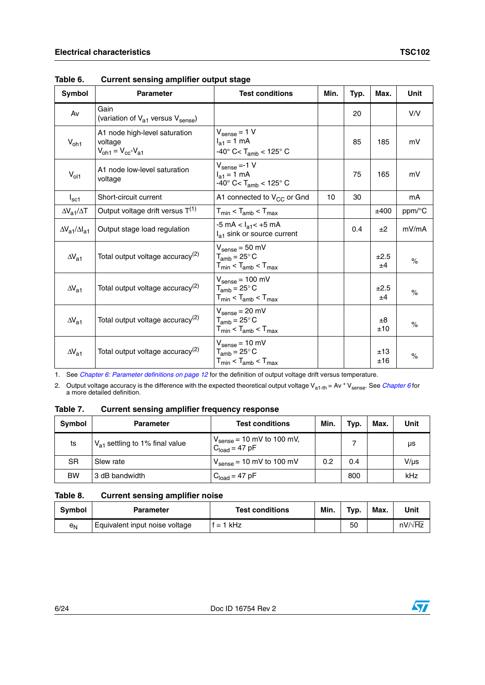| <b>Symbol</b>                 | <b>Parameter</b>                                                                             | <b>Test conditions</b>                                                                               | Min. | Typ. | Max.           | <b>Unit</b> |
|-------------------------------|----------------------------------------------------------------------------------------------|------------------------------------------------------------------------------------------------------|------|------|----------------|-------------|
| Av                            | Gain<br>(variation of $V_{a1}$ versus $V_{\text{sense}}$ )                                   |                                                                                                      |      | 20   |                | V/V         |
| $V_{oh1}$                     | A1 node high-level saturation<br>voltage<br>$V_{\text{oh1}} = V_{\text{cc}} - V_{\text{a1}}$ | $V_{\text{sense}} = 1 V$<br>$I_{a1} = 1$ mA<br>$-40^{\circ}$ C< T <sub>amb</sub> < 125° C            |      | 85   | 185            | mV          |
| $V_{ol1}$                     | A1 node low-level saturation<br>voltage                                                      | $V_{\text{sense}} = -1 V$<br>$I_{a1} = 1$ mA<br>-40 $\degree$ C< T <sub>amb</sub> < 125 $\degree$ C  |      | 75   | 165            | mV          |
| $I_{\rm sc1}$                 | Short-circuit current                                                                        | A1 connected to V <sub>CC</sub> or Gnd                                                               | 10   | 30   |                | mA          |
| $\Delta V_{a1}/\Delta T$      | Output voltage drift versus $T^{(1)}$                                                        | $T_{min}$ < $T_{amb}$ < $T_{max}$                                                                    |      |      | ±400           | ppm/°C      |
| $\Delta V_{a1}/\Delta I_{a1}$ | Output stage load regulation                                                                 | $-5$ mA $<$ $I_{a1}$ $<$ $+5$ mA<br>$Ia1$ sink or source current                                     |      | 0.4  | ±2             | mV/mA       |
| $\Delta V_{a1}$               | Total output voltage accuracy <sup>(2)</sup>                                                 | $V_{\text{sense}} = 50 \text{ mV}$<br>$T_{amb} = 25^{\circ} C$<br>$T_{min}$ < $T_{amb}$ < $T_{max}$  |      |      | ±2.5<br>±4     | $\%$        |
| $\Delta V_{a1}$               | Total output voltage accuracy <sup>(2)</sup>                                                 | $V_{\text{sense}} = 100 \text{ mV}$<br>$T_{amb} = 25^{\circ}$ C<br>$T_{min}$ < $T_{amb}$ < $T_{max}$ |      |      | ±2.5<br>±4     | $\%$        |
| $\Delta V_{a1}$               | Total output voltage accuracy <sup>(2)</sup>                                                 | $V_{\text{sense}} = 20 \text{ mV}$<br>$T_{amb} = 25^{\circ} C$<br>$T_{min}$ < $T_{amb}$ < $T_{max}$  |      |      | $\pm 8$<br>±10 | $\%$        |
| $\Delta V_{a1}$               | Total output voltage accuracy <sup>(2)</sup>                                                 | $V_{\text{sense}} = 10 \text{ mV}$<br>$T_{amb} = 25^{\circ} C$<br>$T_{min}$ < $T_{amb}$ < $T_{max}$  |      |      | ±13<br>±16     | $\%$        |

**Table 6. Current sensing amplifier output stage**

1. See *[Chapter 6: Parameter definitions on page 12](#page-11-0)* for the definition of output voltage drift versus temperature.

<span id="page-5-0"></span>2. Output voltage accuracy is the difference with the expected theoretical output voltage V<sub>a1-th</sub> = Av \* V<sub>sense</sub>. See *[Chapter 6](#page-11-0)* for<br>a more detailed definition.

**Table 7. Current sensing amplifier frequency response**

| Symbol    | <b>Parameter</b>                    | <b>Test conditions</b>                                           | Min. | Typ. | Max. | Unit      |
|-----------|-------------------------------------|------------------------------------------------------------------|------|------|------|-----------|
| ts        | $V_{a1}$ settling to 1% final value | $V_{\text{sense}} = 10 \text{ mV}$ to 100 mV,<br>$Cload = 47 pF$ |      |      |      | us        |
| SR.       | Slew rate                           | $V_{\text{sense}} = 10 \text{ mV}$ to 100 mV                     | 0.2  | 0.4  |      | $V/\mu s$ |
| <b>BW</b> | 3 dB bandwidth                      | $Cload = 47 pF$                                                  |      | 800  |      | kHz       |

#### **Table 8. Current sensing amplifier noise**

| Symbol | <b>Parameter</b>               | <b>Test conditions</b> | Min. | Typ. | Max. | Unit           |
|--------|--------------------------------|------------------------|------|------|------|----------------|
| $e_N$  | Equivalent input noise voltage | $= 1$ kHz              |      | 50   |      | $nV/\sqrt{Hz}$ |

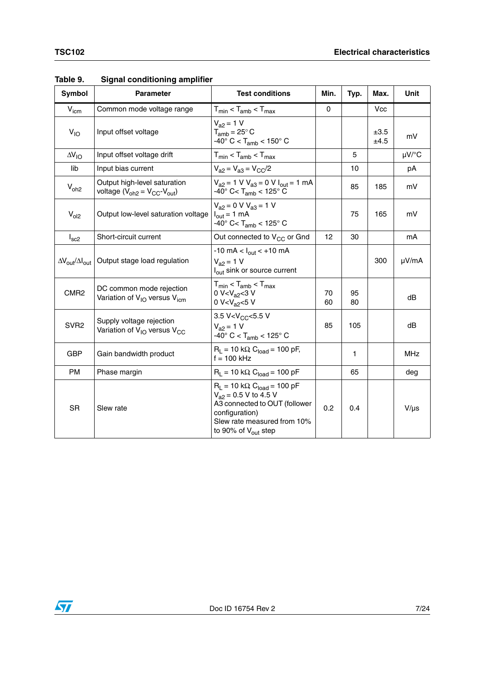| Symbol                                  | <b>Parameter</b>                                                                 | <b>Test conditions</b>                                                                                                                                                                      | Min.     | Typ.         | Max.         | Unit       |
|-----------------------------------------|----------------------------------------------------------------------------------|---------------------------------------------------------------------------------------------------------------------------------------------------------------------------------------------|----------|--------------|--------------|------------|
| $V_{\text{icm}}$                        | Common mode voltage range                                                        | $T_{min}$ < $T_{amb}$ < $T_{max}$                                                                                                                                                           | $\Omega$ |              | <b>Vcc</b>   |            |
| $V_{10}$                                | Input offset voltage                                                             | $V_{a2} = 1 V$<br>$T_{amb}$ = 25 $\degree$ C<br>$-40^{\circ}$ C < T <sub>amb</sub> < 150° C                                                                                                 |          |              | ±3.5<br>±4.5 | mV         |
| $\Delta V_{IO}$                         | Input offset voltage drift                                                       | $T_{min}$ < $T_{amb}$ < $T_{max}$                                                                                                                                                           |          | 5            |              | $\mu$ V/°C |
| lib                                     | Input bias current                                                               | $V_{a2} = V_{a3} = V_{CC}/2$                                                                                                                                                                |          | 10           |              | рA         |
| $V_{oh2}$                               | Output high-level saturation<br>voltage $(V_{oh2} = V_{CC} - V_{out})$           | $V_{a2} = 1$ V $V_{a3} = 0$ V $I_{out} = 1$ mA<br>$-40^{\circ}$ C< T <sub>amb</sub> < 125° C                                                                                                |          | 85           | 185          | mV         |
| $V_{ol2}$                               | Output low-level saturation voltage                                              | $V_{a2} = 0$ V $V_{a3} = 1$ V<br>$I_{\text{out}} = 1 \text{ mA}$<br>$-40^{\circ}$ C< T <sub>amb</sub> < 125° C                                                                              |          | 75           | 165          | mV         |
| $I_{\rm sc2}$                           | Short-circuit current                                                            | Out connected to V <sub>CC</sub> or Gnd                                                                                                                                                     | 12       | 30           |              | mA         |
| $\Delta V_{\rm out}/\Delta I_{\rm out}$ | Output stage load regulation                                                     | $-10 \text{ mA} < I_{\text{out}} < +10 \text{ mA}$<br>$V_{a2} = 1 V$<br>l <sub>out</sub> sink or source current                                                                             |          |              | 300          | µV/mA      |
| CMR <sub>2</sub>                        | DC common mode rejection<br>Variation of V <sub>IO</sub> versus V <sub>icm</sub> | $T_{min}$ < $T_{amb}$ < $T_{max}$<br>0 V< $V_{a2}$ < 3 V<br>0 V <v<sub>a2&lt;5 V</v<sub>                                                                                                    | 70<br>60 | 95<br>80     |              | dB         |
| SVR <sub>2</sub>                        | Supply voltage rejection<br>Variation of V <sub>IO</sub> versus V <sub>CC</sub>  | 3.5 V <v<sub>CC&lt;5.5 V<br/><math>V_{a2} = 1 V</math><br/><math>-40^{\circ}</math> C &lt; T<sub>amb</sub> &lt; 125° C</v<sub>                                                              | 85       | 105          |              | dB         |
| <b>GBP</b>                              | Gain bandwidth product                                                           | $R_L$ = 10 kΩ, C <sub>load</sub> = 100 pF,<br>$f = 100$ kHz                                                                                                                                 |          | $\mathbf{1}$ |              | <b>MHz</b> |
| <b>PM</b>                               | Phase margin                                                                     | $R_1 = 10 \text{ k}\Omega$ , $C_{load} = 100 \text{ pF}$                                                                                                                                    |          | 65           |              | deg        |
| <b>SR</b>                               | Slew rate                                                                        | $R_L$ = 10 kΩ, C <sub>load</sub> = 100 pF<br>$V_{a2}$ = 0.5 V to 4.5 V<br>A3 connected to OUT (follower<br>configuration)<br>Slew rate measured from 10%<br>to 90% of $V_{\text{out}}$ step | 0.2      | 0.4          |              | $V/\mu s$  |

#### **Table 9. Signal conditioning amplifier**

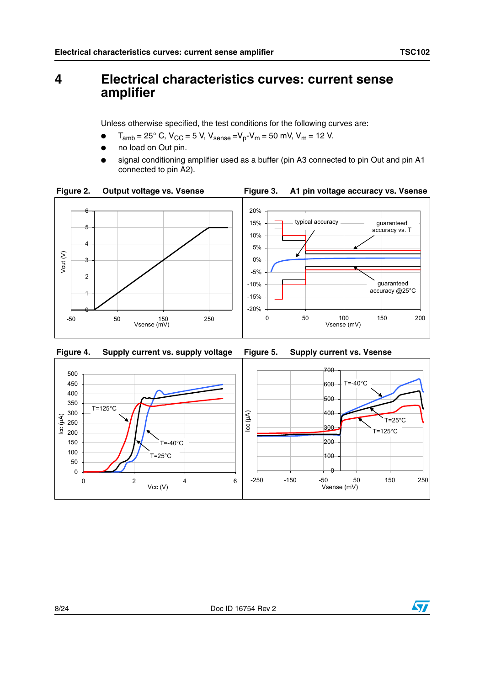## <span id="page-7-0"></span>**4 Electrical characteristics curves: current sense amplifier**

Unless otherwise specified, the test conditions for the following curves are:

- $T_{amb} = 25^{\circ}$  C,  $V_{CC} = 5$  V,  $V_{sense} = V_p V_m = 50$  mV,  $V_m = 12$  V.
- no load on Out pin.
- signal conditioning amplifier used as a buffer (pin A3 connected to pin Out and pin A1 connected to pin A2).





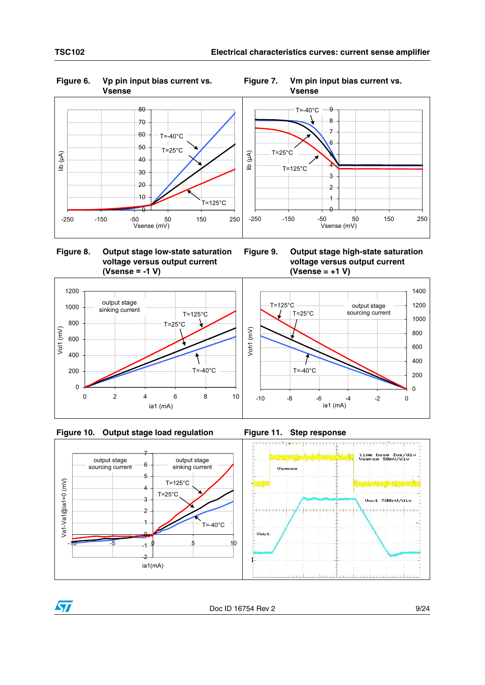

# **Figure 6. Vp pin input bias current vs.**



**Figure 8. Output stage low-state saturation voltage versus output current (Vsense = -1 V)**

**Figure 9. Output stage high-state saturation voltage versus output current (Vsense = +1 V)**









Vol1 (mV)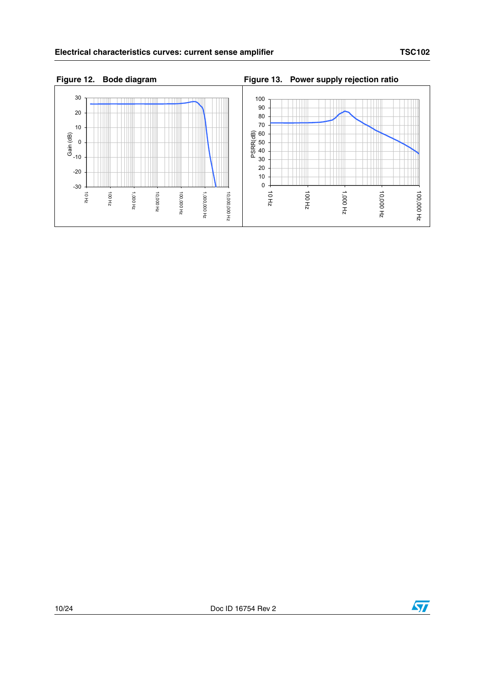



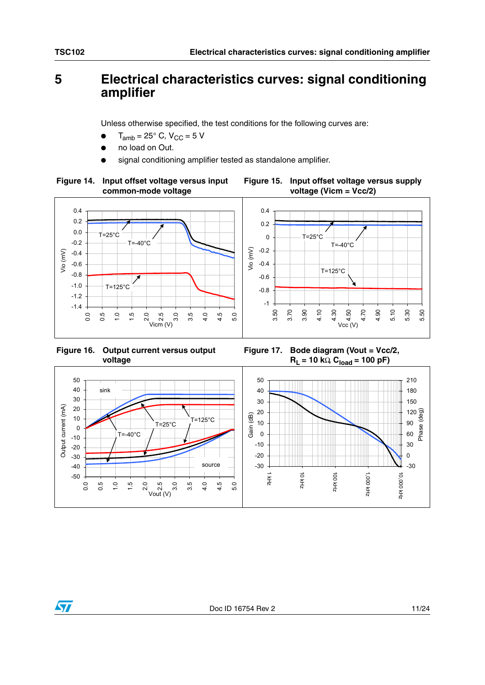## <span id="page-10-0"></span>**5 Electrical characteristics curves: signal conditioning amplifier**

Unless otherwise specified, the test conditions for the following curves are:

- $T_{amb}$  = 25 $\degree$  C, V<sub>CC</sub> = 5 V
- no load on Out.
- signal conditioning amplifier tested as standalone amplifier.





**Figure 16. Output current versus output voltage**

**Figure 17. Bode diagram (Vout = Vcc/2,**   $R_L$  = 10 kΩ  $C_{load}$  = 100 pF)



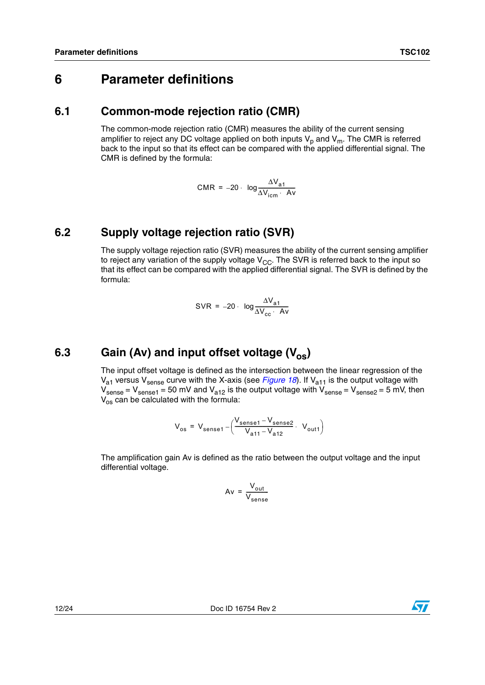## <span id="page-11-0"></span>**6 Parameter definitions**

#### <span id="page-11-1"></span>**6.1 Common-mode rejection ratio (CMR)**

The common-mode rejection ratio (CMR) measures the ability of the current sensing amplifier to reject any DC voltage applied on both inputs  $V_p$  and  $V_m$ . The CMR is referred back to the input so that its effect can be compared with the applied differential signal. The CMR is defined by the formula:

$$
CMR = -20 \cdot \log \frac{\Delta V_{a1}}{\Delta V_{\text{icm}} \cdot Av}
$$

#### <span id="page-11-2"></span>**6.2 Supply voltage rejection ratio (SVR)**

The supply voltage rejection ratio (SVR) measures the ability of the current sensing amplifier to reject any variation of the supply voltage  $V_{CC}$ . The SVR is referred back to the input so that its effect can be compared with the applied differential signal. The SVR is defined by the formula:

$$
SVR = -20 \cdot \log \frac{\Delta V_{a1}}{\Delta V_{cc} \cdot Av}
$$

## <span id="page-11-3"></span>6.3 Gain (Av) and input offset voltage (V<sub>os</sub>)

The input offset voltage is defined as the intersection between the linear regression of the  $V_{a1}$  versus  $V_{\text{sense}}$  curve with the X-axis (see *[Figure 18](#page-12-1)*). If  $V_{a11}$  is the output voltage with  $V_{\text{sense}} = V_{\text{sense1}} = 50$  mV and  $V_{a12}$  is the output voltage with  $V_{\text{sense2}} = V_{\text{sense2}} = 5$  mV, then  $V_{\text{os}}$  can be calculated with the formula:

$$
V_{os} = V_{sense1} - \left(\frac{V_{sense1} - V_{sense2}}{V_{a11} - V_{a12}} \cdot V_{out1}\right)
$$

The amplification gain Av is defined as the ratio between the output voltage and the input differential voltage.

$$
Av = \frac{V_{out}}{V_{sense}}
$$

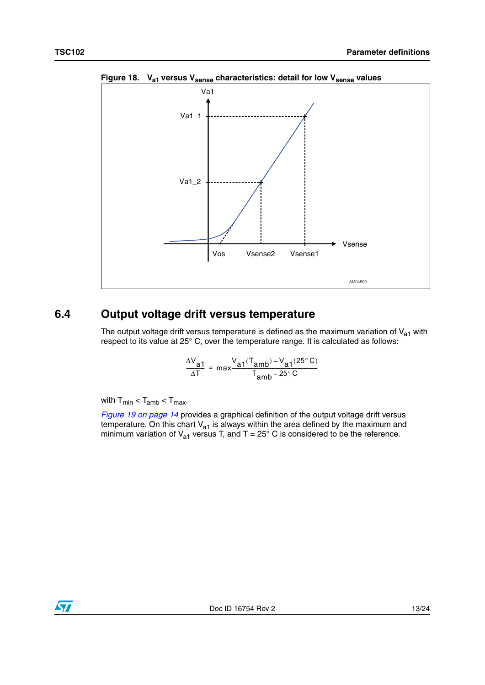

<span id="page-12-1"></span>Figure 18. V<sub>a1</sub> versus V<sub>sense</sub> characteristics: detail for low V<sub>sense</sub> values

#### <span id="page-12-0"></span>**6.4 Output voltage drift versus temperature**

The output voltage drift versus temperature is defined as the maximum variation of  $V_{a1}$  with respect to its value at 25° C, over the temperature range. It is calculated as follows:

$$
\frac{\Delta V_{a1}}{\Delta T} = \max \frac{V_{a1}(T_{amb}) - V_{a1}(25^{\circ}C)}{T_{amb} - 25^{\circ}C}
$$

with  $T_{min} < T_{amb} < T_{max}$ .

*[Figure 19 on page 14](#page-13-1)* provides a graphical definition of the output voltage drift versus temperature. On this chart  $V_{a1}$  is always within the area defined by the maximum and minimum variation of  $V_{a1}$  versus T, and T = 25° C is considered to be the reference.

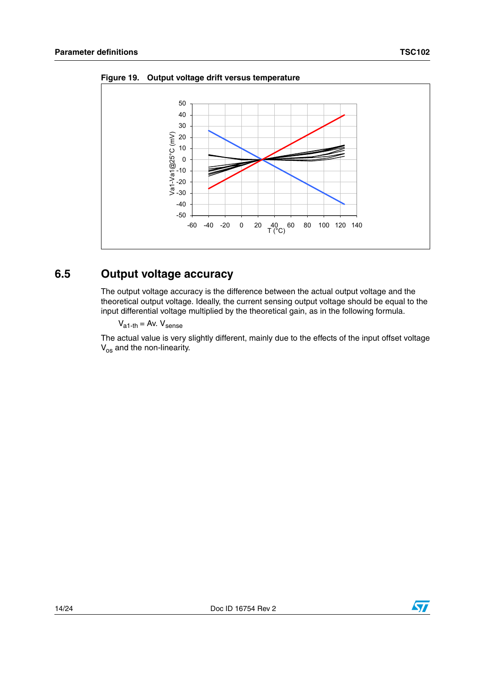

<span id="page-13-1"></span>**Figure 19. Output voltage drift versus temperature**

#### <span id="page-13-0"></span>**6.5 Output voltage accuracy**

The output voltage accuracy is the difference between the actual output voltage and the theoretical output voltage. Ideally, the current sensing output voltage should be equal to the input differential voltage multiplied by the theoretical gain, as in the following formula.

 $V_{a1-th} = Av. V_{sense}$ 

The actual value is very slightly different, mainly due to the effects of the input offset voltage  $V_{\rm os}$  and the non-linearity.

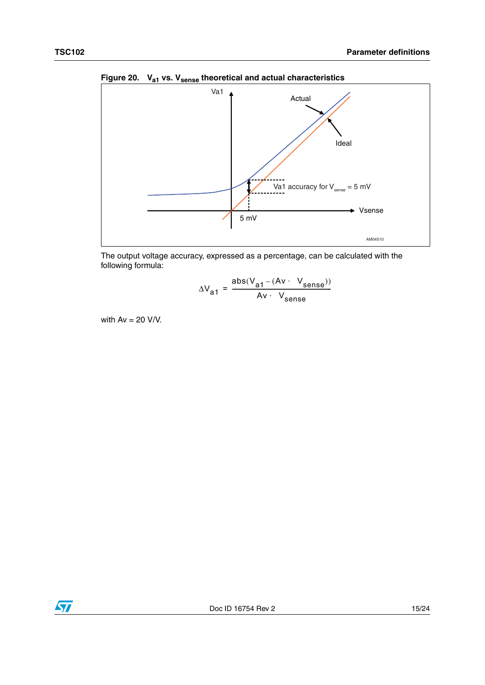

Figure 20. V<sub>a1</sub> vs. V<sub>sense</sub> theoretical and actual characteristics



$$
\Delta V_{a1} = \frac{abs(V_{a1} - (Av \cdot V_{sense}))}{Av \cdot V_{sense}}
$$

with  $Av = 20 V/V$ .

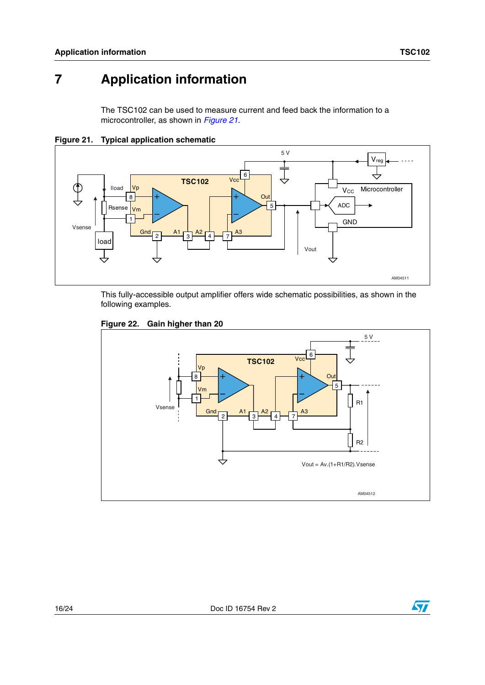# <span id="page-15-0"></span>**7 Application information**

The TSC102 can be used to measure current and feed back the information to a microcontroller, as shown in *[Figure 21](#page-15-1)*.



<span id="page-15-1"></span>**Figure 21. Typical application schematic**

This fully-accessible output amplifier offers wide schematic possibilities, as shown in the following examples.



#### **Figure 22. Gain higher than 20**

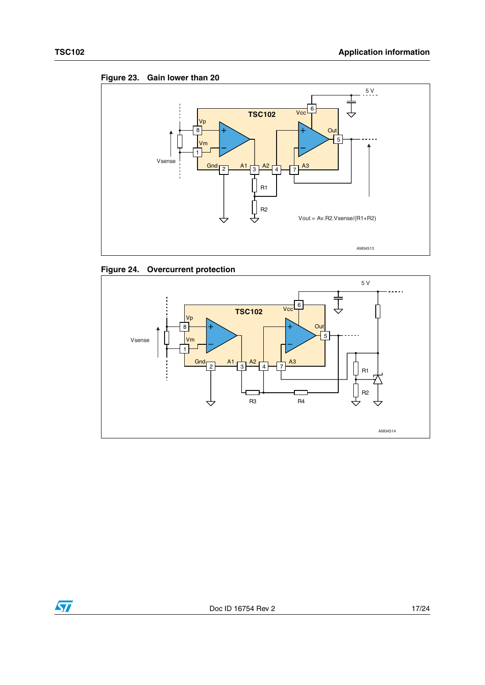







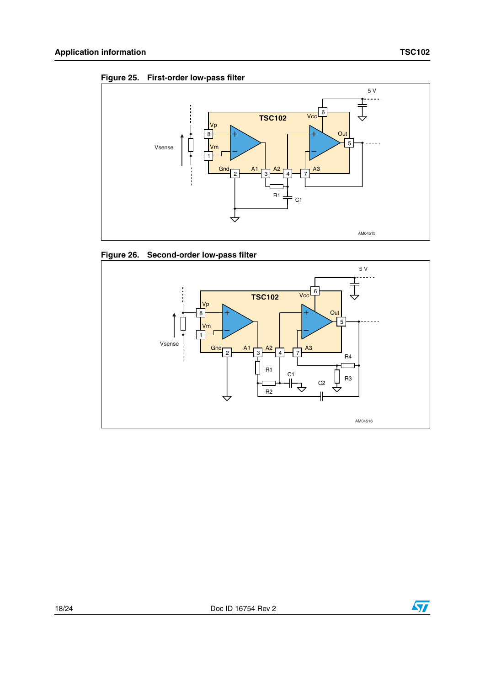







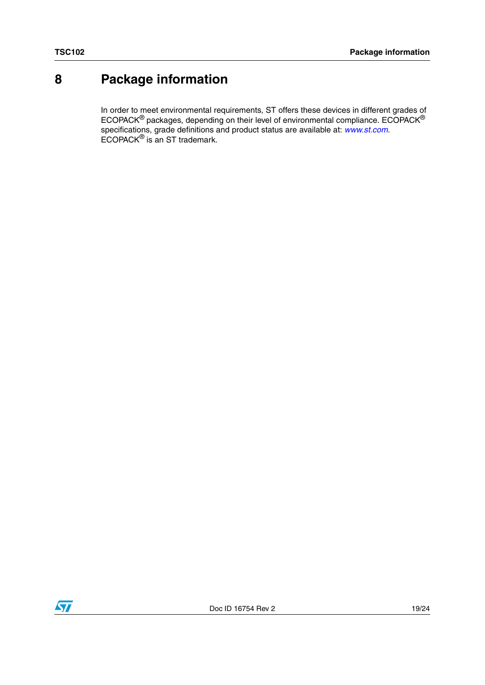# <span id="page-18-0"></span>**8 Package information**

In order to meet environmental requirements, ST offers these devices in different grades of ECOPACK $^{\circledR}$  packages, depending on their level of environmental compliance. ECOPACK $^{\circledR}$ specifications, grade definitions and product status are available at: *[www.st.com](http://www.st.com)*. ECOPACK® is an ST trademark.

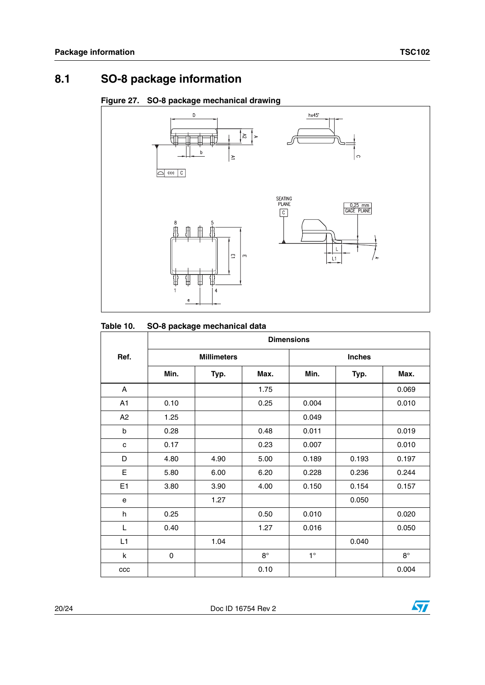## <span id="page-19-0"></span>**8.1 SO-8 package information**





#### **Table 10. SO-8 package mechanical data**

|      | <b>Dimensions</b>  |      |             |               |       |             |
|------|--------------------|------|-------------|---------------|-------|-------------|
| Ref. | <b>Millimeters</b> |      |             | <b>Inches</b> |       |             |
|      | Min.               | Typ. | Max.        | Min.          | Typ.  | Max.        |
| A    |                    |      | 1.75        |               |       | 0.069       |
| A1   | 0.10               |      | 0.25        | 0.004         |       | 0.010       |
| A2   | 1.25               |      |             | 0.049         |       |             |
| b    | 0.28               |      | 0.48        | 0.011         |       | 0.019       |
| C    | 0.17               |      | 0.23        | 0.007         |       | 0.010       |
| D    | 4.80               | 4.90 | 5.00        | 0.189         | 0.193 | 0.197       |
| E    | 5.80               | 6.00 | 6.20        | 0.228         | 0.236 | 0.244       |
| E1   | 3.80               | 3.90 | 4.00        | 0.150         | 0.154 | 0.157       |
| e    |                    | 1.27 |             |               | 0.050 |             |
| h    | 0.25               |      | 0.50        | 0.010         |       | 0.020       |
| L    | 0.40               |      | 1.27        | 0.016         |       | 0.050       |
| L1   |                    | 1.04 |             |               | 0.040 |             |
| k    | 0                  |      | $8^{\circ}$ | $1^{\circ}$   |       | $8^{\circ}$ |
| ccc  |                    |      | 0.10        |               |       | 0.004       |

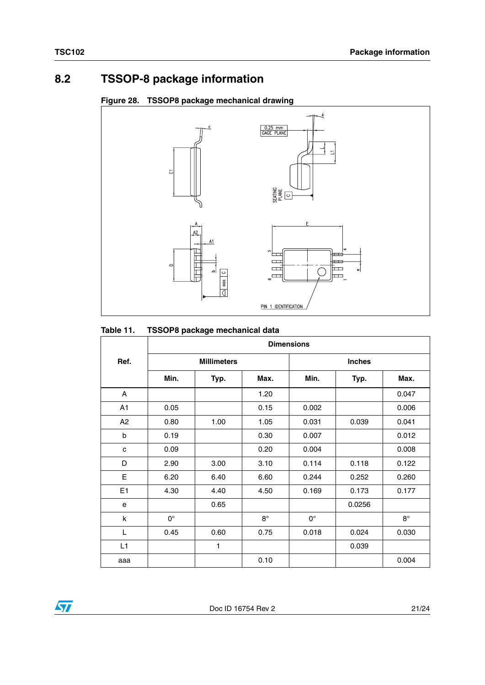## <span id="page-20-0"></span>**8.2 TSSOP-8 package information**

#### **Figure 28. TSSOP8 package mechanical drawing**



#### **Table 11. TSSOP8 package mechanical data**

|      | <b>Dimensions</b> |                    |           |             |               |           |
|------|-------------------|--------------------|-----------|-------------|---------------|-----------|
| Ref. |                   | <b>Millimeters</b> |           |             | <b>Inches</b> |           |
|      | Min.              | Typ.               | Max.      | Min.        | Typ.          | Max.      |
| A    |                   |                    | 1.20      |             |               | 0.047     |
| A1   | 0.05              |                    | 0.15      | 0.002       |               | 0.006     |
| A2   | 0.80              | 1.00               | 1.05      | 0.031       | 0.039         | 0.041     |
| b    | 0.19              |                    | 0.30      | 0.007       |               | 0.012     |
| C    | 0.09              |                    | 0.20      | 0.004       |               | 0.008     |
| D    | 2.90              | 3.00               | 3.10      | 0.114       | 0.118         | 0.122     |
| E    | 6.20              | 6.40               | 6.60      | 0.244       | 0.252         | 0.260     |
| E1   | 4.30              | 4.40               | 4.50      | 0.169       | 0.173         | 0.177     |
| e    |                   | 0.65               |           |             | 0.0256        |           |
| k    | $0^{\circ}$       |                    | $8^\circ$ | $0^{\circ}$ |               | $8^\circ$ |
| L    | 0.45              | 0.60               | 0.75      | 0.018       | 0.024         | 0.030     |
| L1   |                   | 1                  |           |             | 0.039         |           |
| aaa  |                   |                    | 0.10      |             |               | 0.004     |

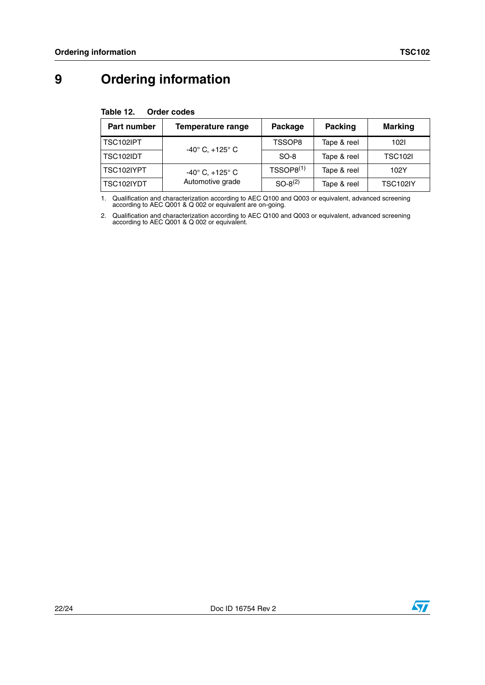# <span id="page-21-0"></span>**9 Ordering information**

<span id="page-21-2"></span>

| Table 12. | <b>Order codes</b> |  |
|-----------|--------------------|--|
|-----------|--------------------|--|

| Part number | Temperature range                 | Package        | Packing     | <b>Marking</b>  |
|-------------|-----------------------------------|----------------|-------------|-----------------|
| TSC102IPT   | $-40^{\circ}$ C, $+125^{\circ}$ C | TSSOP8         | Tape & reel | 1021            |
| TSC102IDT   |                                   | $SO-8$         | Tape & reel | <b>TSC102I</b>  |
| TSC102IYPT  | $-40^{\circ}$ C, $+125^{\circ}$ C | $TSSOP8^{(1)}$ | Tape & reel | 102Y            |
| TSC102IYDT  | Automotive grade                  | $SO-8^{(2)}$   | Tape & reel | <b>TSC102IY</b> |

1. Qualification and characterization according to AEC Q100 and Q003 or equivalent, advanced screening according to AEC Q001 & Q 002 or equivalent are on-going.

<span id="page-21-1"></span>2. Qualification and characterization according to AEC Q100 and Q003 or equivalent, advanced screening according to AEC Q001 & Q 002 or equivalent.

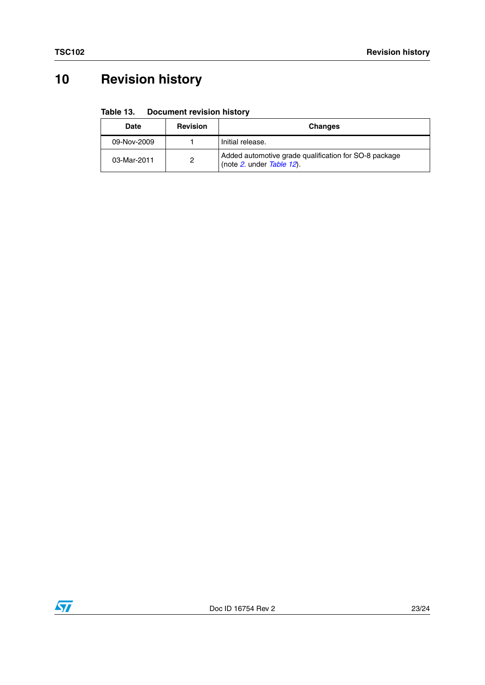# <span id="page-22-0"></span>**10 Revision history**

#### Table 13. **Document revision history**

| Date        | <b>Revision</b> | <b>Changes</b>                                                                     |
|-------------|-----------------|------------------------------------------------------------------------------------|
| 09-Nov-2009 |                 | Initial release.                                                                   |
| 03-Mar-2011 | 2               | Added automotive grade qualification for SO-8 package<br>(note 2. under Table 12). |